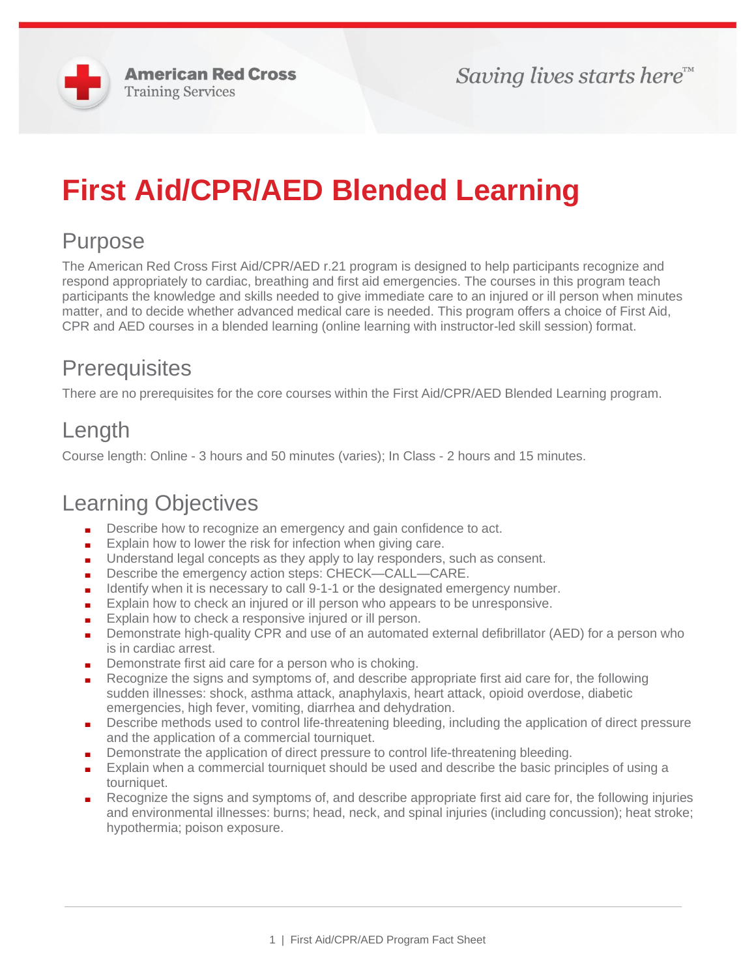

# **First Aid/CPR/AED Blended Learning**

## Purpose

The American Red Cross First Aid/CPR/AED r.21 program is designed to help participants recognize and respond appropriately to cardiac, breathing and first aid emergencies. The courses in this program teach participants the knowledge and skills needed to give immediate care to an injured or ill person when minutes matter, and to decide whether advanced medical care is needed. This program offers a choice of First Aid, CPR and AED courses in a blended learning (online learning with instructor-led skill session) format.

#### **Prerequisites**

There are no prerequisites for the core courses within the First Aid/CPR/AED Blended Learning program.

## Length

Course length: Online - 3 hours and 50 minutes (varies); In Class - 2 hours and 15 minutes.

#### Learning Objectives

- Describe how to recognize an emergency and gain confidence to act.
- Explain how to lower the risk for infection when giving care.
- Understand legal concepts as they apply to lay responders, such as consent.
- Describe the emergency action steps: CHECK—CALL—CARE.
- Identify when it is necessary to call 9-1-1 or the designated emergency number.
- Explain how to check an injured or ill person who appears to be unresponsive.
- Explain how to check a responsive injured or ill person.
- Demonstrate high-quality CPR and use of an automated external defibrillator (AED) for a person who is in cardiac arrest.
- Demonstrate first aid care for a person who is choking.
- Recognize the signs and symptoms of, and describe appropriate first aid care for, the following sudden illnesses: shock, asthma attack, anaphylaxis, heart attack, opioid overdose, diabetic emergencies, high fever, vomiting, diarrhea and dehydration.
- Describe methods used to control life-threatening bleeding, including the application of direct pressure and the application of a commercial tourniquet.
- Demonstrate the application of direct pressure to control life-threatening bleeding.
- Explain when a commercial tourniquet should be used and describe the basic principles of using a tourniquet.
- Recognize the signs and symptoms of, and describe appropriate first aid care for, the following injuries and environmental illnesses: burns; head, neck, and spinal injuries (including concussion); heat stroke; hypothermia; poison exposure.